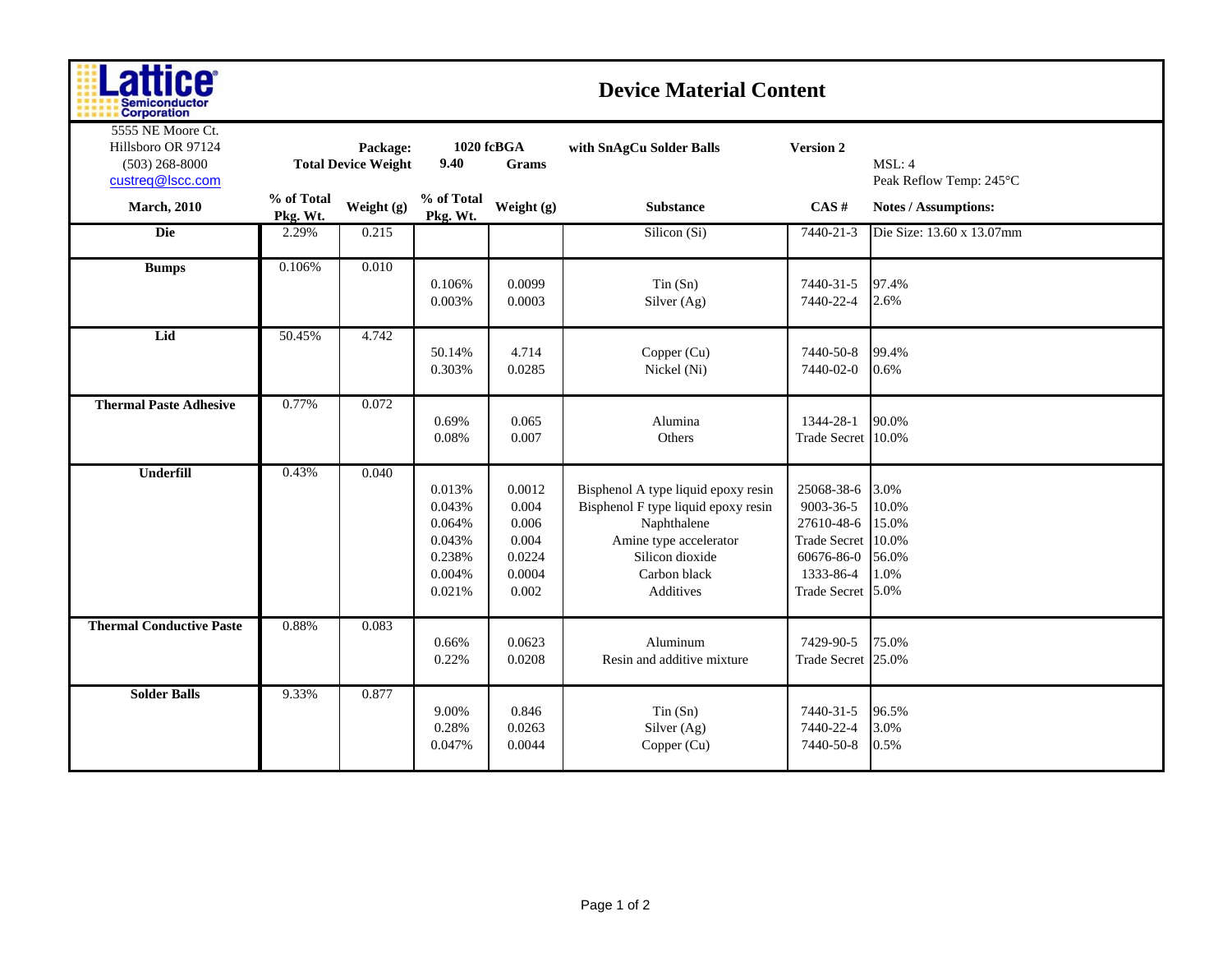| ш                    |
|----------------------|
| <b>Semiconductor</b> |
| <b>Corporation</b>   |

## **Device Material Content**

| 5555 NE Moore Ct.<br>Hillsboro OR 97124<br>$(503)$ 268-8000<br>custreq@lscc.com | Package:<br><b>Total Device Weight</b> |            | 1020 fcBGA<br>9.40<br>Grams                                        |                                                                | with SnAgCu Solder Balls                                                                                                                                            | <b>Version 2</b>                                                                                             | MSL: 4<br>Peak Reflow Temp: 245°C                |
|---------------------------------------------------------------------------------|----------------------------------------|------------|--------------------------------------------------------------------|----------------------------------------------------------------|---------------------------------------------------------------------------------------------------------------------------------------------------------------------|--------------------------------------------------------------------------------------------------------------|--------------------------------------------------|
| <b>March</b> , 2010                                                             | % of Total<br>Pkg. Wt.                 | Weight (g) | % of Total<br>Pkg. Wt.                                             | Weight (g)                                                     | <b>Substance</b>                                                                                                                                                    | CAS#                                                                                                         | Notes / Assumptions:                             |
| <b>Die</b>                                                                      | 2.29%                                  | 0.215      |                                                                    |                                                                | Silicon (Si)                                                                                                                                                        | 7440-21-3                                                                                                    | Die Size: 13.60 x 13.07mm                        |
| <b>Bumps</b>                                                                    | 0.106%                                 | 0.010      | 0.106%<br>0.003%                                                   | 0.0099<br>0.0003                                               | Tin(Sn)<br>Silver (Ag)                                                                                                                                              | 7440-31-5<br>7440-22-4                                                                                       | 97.4%<br>2.6%                                    |
| Lid                                                                             | 50.45%                                 | 4.742      | 50.14%<br>0.303%                                                   | 4.714<br>0.0285                                                | Copper (Cu)<br>Nickel (Ni)                                                                                                                                          | 7440-50-8<br>7440-02-0                                                                                       | 99.4%<br>0.6%                                    |
| <b>Thermal Paste Adhesive</b>                                                   | 0.77%                                  | 0.072      | 0.69%<br>0.08%                                                     | 0.065<br>0.007                                                 | Alumina<br>Others                                                                                                                                                   | 1344-28-1<br><b>Trade Secret</b>                                                                             | 90.0%<br>10.0%                                   |
| <b>Underfill</b>                                                                | 0.43%                                  | 0.040      | 0.013%<br>0.043%<br>0.064%<br>0.043%<br>0.238%<br>0.004%<br>0.021% | 0.0012<br>0.004<br>0.006<br>0.004<br>0.0224<br>0.0004<br>0.002 | Bisphenol A type liquid epoxy resin<br>Bisphenol F type liquid epoxy resin<br>Naphthalene<br>Amine type accelerator<br>Silicon dioxide<br>Carbon black<br>Additives | 25068-38-6<br>9003-36-5<br>27610-48-6<br><b>Trade Secret</b><br>60676-86-0<br>1333-86-4<br>Trade Secret 5.0% | 3.0%<br>10.0%<br>15.0%<br>10.0%<br>56.0%<br>1.0% |
| <b>Thermal Conductive Paste</b>                                                 | 0.88%                                  | 0.083      | 0.66%<br>0.22%                                                     | 0.0623<br>0.0208                                               | Aluminum<br>Resin and additive mixture                                                                                                                              | 7429-90-5<br>Trade Secret 25.0%                                                                              | 75.0%                                            |
| <b>Solder Balls</b>                                                             | 9.33%                                  | 0.877      | 9.00%<br>0.28%<br>0.047%                                           | 0.846<br>0.0263<br>0.0044                                      | Tin(Sn)<br>Silver (Ag)<br>Copper (Cu)                                                                                                                               | 7440-31-5<br>7440-22-4<br>7440-50-8                                                                          | 96.5%<br>3.0%<br>0.5%                            |